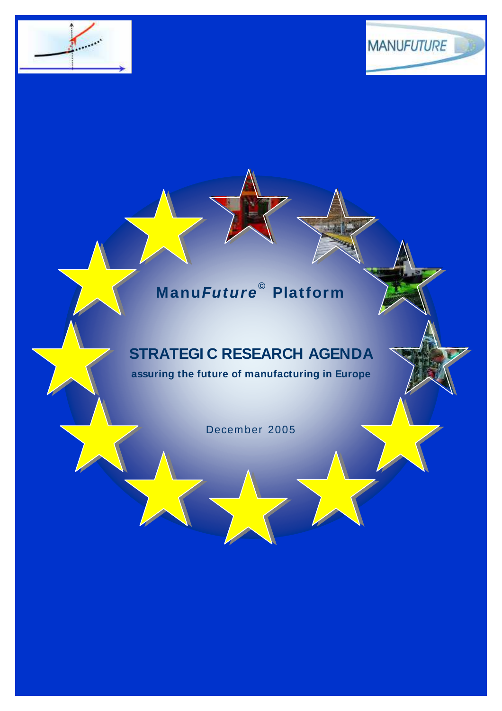

# **ManuFuture © Platform**

# **STRATEGI C RESEARCH AGENDA**

**assuring the future of manufacturing in Europe**

December 2005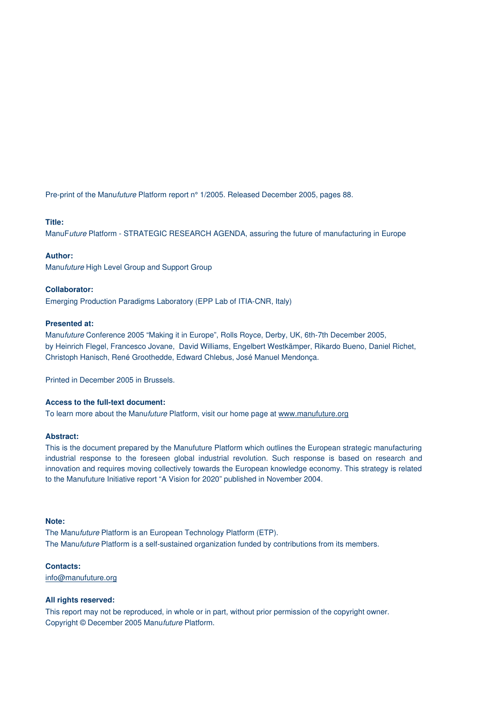Pre-print of the Manu*future* Platform report n° 1/2005. Released December 2005, pages 88.

### **Title:**

ManuF*uture* Platform - STRATEGIC RESEARCH AGENDA, assuring the future of manufacturing in Europe

### **Author:**

Manu*future* High Level Group and Support Group

### **Collaborator:**

Emerging Production Paradigms Laboratory (EPP Lab of ITIA-CNR, Italy)

#### **Presented at:**

Manu*future* Conference 2005 "Making it in Europe", Rolls Royce, Derby, UK, 6th-7th December 2005, by Heinrich Flegel, Francesco Jovane, David Williams, Engelbert Westkämper, Rikardo Bueno, Daniel Richet, Christoph Hanisch, René Groothedde, Edward Chlebus, José Manuel Mendonça.

Printed in December 2005 in Brussels.

### **Access to the full-text document:**

To learn more about the Manu*future* Platform, visit our home page at www.manufuture.org

### **Abstract:**

This is the document prepared by the Manufuture Platform which outlines the European strategic manufacturing industrial response to the foreseen global industrial revolution. Such response is based on research and innovation and requires moving collectively towards the European knowledge economy. This strategy is related to the Manufuture Initiative report "A Vision for 2020" published in November 2004.

### **Note:**

The Manu*future* Platform is an European Technology Platform (ETP). The Manu*future* Platform is a self-sustained organization funded by contributions from its members.

#### **Contacts:**

info@manufuture.org

#### **All rights reserved:**

This report may not be reproduced, in whole or in part, without prior permission of the copyright owner. Copyright © December 2005 Manu*future* Platform.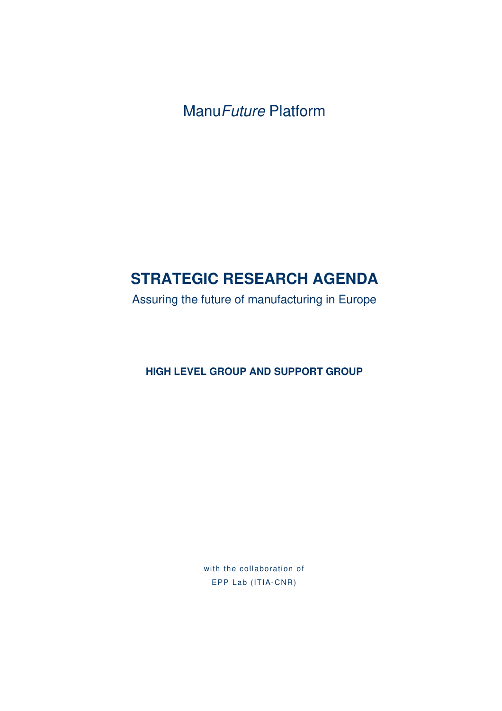Manu*Future* Platform

# **STRATEGIC RESEARCH AGENDA**

Assuring the future of manufacturing in Europe

**HIGH LEVEL GROUP AND SUPPORT GROUP**

with the collaboration of EPP Lab (ITIA-CNR)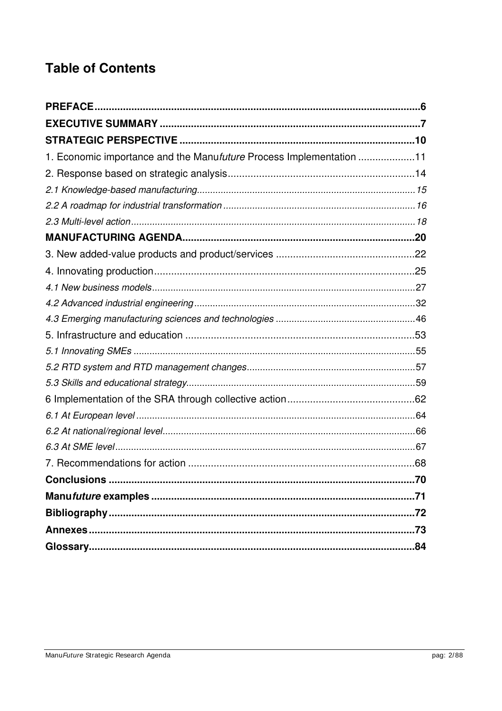# **Table of Contents**

| 1. Economic importance and the Manufuture Process Implementation 11 |  |
|---------------------------------------------------------------------|--|
|                                                                     |  |
|                                                                     |  |
|                                                                     |  |
|                                                                     |  |
|                                                                     |  |
|                                                                     |  |
|                                                                     |  |
|                                                                     |  |
|                                                                     |  |
|                                                                     |  |
|                                                                     |  |
|                                                                     |  |
|                                                                     |  |
|                                                                     |  |
|                                                                     |  |
|                                                                     |  |
|                                                                     |  |
|                                                                     |  |
|                                                                     |  |
|                                                                     |  |
|                                                                     |  |
|                                                                     |  |
|                                                                     |  |
|                                                                     |  |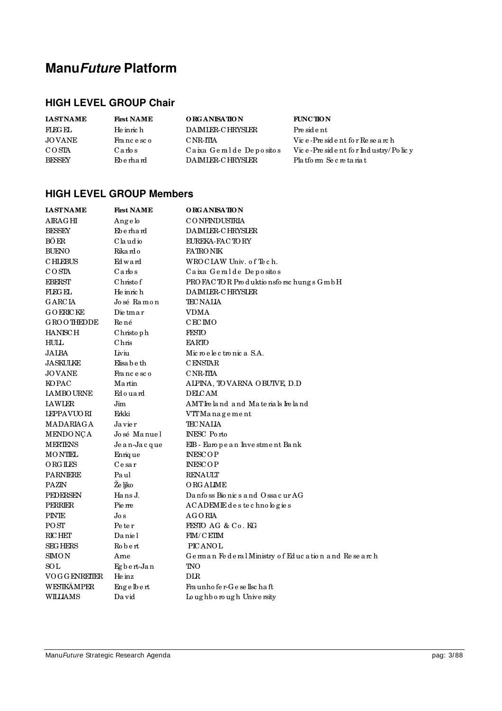# **ManuFuture Platform**

# **HIGH LEVEL GROUP Chair**

| <b>LASTNAME</b> | <b>First NAME</b> | <b>ORGANISATION</b>     | <b>FUNCTION</b>                    |
|-----------------|-------------------|-------------------------|------------------------------------|
| <b>FLEGEL</b>   | He innic h        | DA IMLER-C HRYSLER      | President                          |
| <b>JOVANE</b>   | Francesco         | C NR-ITIA               | Vice-President for Research        |
| COSTA           | Carlos            | Caixa Geralde Depositos | Vice-President for Industry/Policy |
| <b>BESSEY</b>   | <b>E</b> be thand | DA IMLER-C HRYSLER      | Platform Secretariat               |

## **HIGH LEVEL GROUP Members**

| <b>IASTNAME</b>   | <b>First NAME</b> | O RGANISATION                                     |
|-------------------|-------------------|---------------------------------------------------|
| AIRAGHI           | Angelo            | <b>CONFINDUSTRIA</b>                              |
| <b>BESSEY</b>     | Eberhard          | <b>DAIMLER-CHRYSLER</b>                           |
| <b>BÔ ER</b>      | Claudio           | EUREKA-FACTORY                                    |
| BUENO             | Rika rd o         | <b>FATRONIK</b>                                   |
| <b>CHLEBUS</b>    | Edward            | WROCLAW Univ. of Tech.                            |
| $\cos$            | Carlos            | Caixa Geralde Depositos                           |
| <b>EBERST</b>     | Christo f         | PROFACTOR ProduktionsforschungsGmbH               |
| <b>FLEG EL</b>    | He inrich         | DAMIER-CHRYSLER                                   |
| G ARC IA          | José Ramon        | <b>TEC NALIA</b>                                  |
| G O ERIC KE       | Die tmar          | VDMA                                              |
| <b>GROOTHEDDE</b> | Re né             | C EC IMO                                          |
| <b>HANISCH</b>    | Christoph         | <b>FESTO</b>                                      |
| HULL              | Chnis             | <b>EARTO</b>                                      |
| JALBA             | Liviu             | Mic roelectronic a S.A.                           |
| JASKULKE          | Elisa b e th      | <b>CENSTAR</b>                                    |
| <b>JOVANE</b>     | Francesco         | C NR-ITIA                                         |
| <b>KOPAC</b>      | Martin            | AIPINA, TOVARNA OBUTVE, D.D                       |
| <b>LAMBO URNE</b> | Edouard           | <b>DELCAM</b>                                     |
| <b>LAWLER</b>     | Jim.              | AMT Ire land and Materials Ire land               |
| <b>LEPPAVUORI</b> | Erkki             | VTTManagement                                     |
| MADARIAGA         | Ja vie r          | <b>TEC NALIA</b>                                  |
| <b>MENDONÇA</b>   | José Manuel       | <b>INESC</b> Porto                                |
| <b>MERTENS</b>    | Je a n-Jacque     | EIB - European Investment Bank                    |
| MONTEL            | Enrique           | <b>INESCOP</b>                                    |
| ORGILES           | $Ce$ sar          | <b>INESCOP</b>                                    |
| PARNIERE          | Paul              | RENAULT                                           |
| <b>PAZIN</b>      | Že ljko           | <b>ORGAIME</b>                                    |
| <b>PEDERSEN</b>   | Hans J.           | Danfoss Bionics and OssacurAG                     |
| <b>PERRIER</b>    | Pie me            | ACADEMIE destechnologies                          |
| <b>PINTE</b>      | Jo s              | AGORIA                                            |
| $\rm{POST}$       | Pe te r           | FESTO AG & Co. KG                                 |
| <b>RIC HET</b>    | Daniel            | FIM/CEIIM                                         |
| SEG HERS          | Robert            | <b>PICANOL</b>                                    |
| SIMO N            | Ame               | German Federal Ministry of Education and Research |
| $\rm SOL$         | Eg bert-Jan       | <b>TNO</b>                                        |
| VOGG ENRETIER     | He inz            | $_{\rm DIR}$                                      |
| WESTKÄMPER        | Engelbert         | Fraunhofer-Gesellschaft                           |
| WILLIAMS          | Da vid            | Loughborough University                           |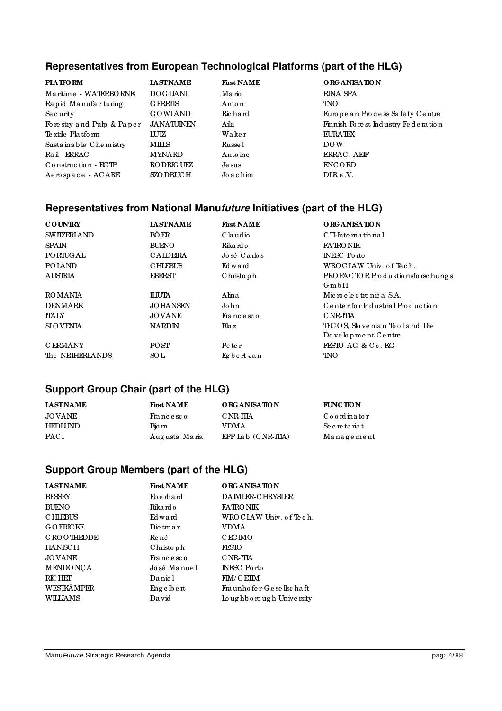## Representatives from European Technological Platforms (part of the HLG)

| <b>PLATFORM</b>           | <b>LASTNAME</b>    | <b>First NAME</b> |
|---------------------------|--------------------|-------------------|
| Maritime - WATERBORNE     | <b>DOGLIANI</b>    | Ma rio            |
| Rapid Manufacturing       | <b>GERRIIS</b>     | Anto n            |
| Se c unty                 | <b>GOWIAND</b>     | Ric hard          |
| Forestry and Pulp & Paper | <b>JANATUINEN</b>  | Aila              |
| Te xtile Platform         | ШZ                 | Wa lte r          |
| Sustainable Chemistry     | MILIS              | Russe l           |
| Rail - ERRAC              | <b>MYNARD</b>      | Anto ine          |
| $Co$ nstruction - $ECTP$  | <b>RO DRIG UEZ</b> | Je sus            |
| Aerospace - ACARE         | SZO DRUC H         | Jo a chim         |

**ORGANISATION RINA SPA TNO** European Process Safety Centre Finnish Forest Industry Federation  $\rm{EURA\,IEX}$  $DOW$ ERRAC, AEF  $ENCORD$ DIRe.V.

## Representatives from National Manufuture Initiatives (part of the HLG)

| <b>COUNTRY</b>     | <b>IASTNAME</b> | <b>First NAME</b>     | O RG A NISA TIO N                                    |
|--------------------|-----------------|-----------------------|------------------------------------------------------|
| <b>SWITZERIAND</b> | <b>BÔER</b>     | Claudio               | CTI-International                                    |
| <b>SPAIN</b>       | <b>BUENO</b>    | Rika rd o             | <b>FATRO NIK</b>                                     |
| PORTUGAL           | <b>CAIDERA</b>  | $Jo$ sé $Ca$ r $lo$ s | <b>INESC</b> Porto                                   |
| <b>POIAND</b>      | <b>CHLEBUS</b>  | Ed ward               | WROCIAW Univ. of Tech.                               |
| <b>AUSTRIA</b>     | <b>EBERST</b>   | Christo ph            | PROFACTOR Produktions forschungs<br>GmbH             |
| <b>ROMANIA</b>     | <b>ILIUTA</b>   | Alina                 | Mic melectmnica S.A.                                 |
| <b>DENMARK</b>     | <b>JOHANSEN</b> | John                  | C e n te r fo r Industria l Production               |
| TTAIY              | <b>JOVANE</b>   | Francesco             | C NR-ITIA                                            |
| <b>SLOVENIA</b>    | <b>NARDIN</b>   | Bla z                 | TECOS, Slovenian Tool and Die<br>De velopment Centre |
| <b>GERMANY</b>     | PO ST           | Pe te r               | FESTO AG & Co. KG                                    |
| The NETHERIANDS    | SOL             | Egbert-Jan            | <b>TNO</b>                                           |

# **Support Group Chair (part of the HLG)**

| <b>IASTNAME</b> | <b>First NAME</b> | O RG A NISA TION        | <b>FUNCTION</b>     |
|-----------------|-------------------|-------------------------|---------------------|
| <b>JOVANE</b>   | Francesco         | CNR-ITIA                | $Co$ o rd in a to r |
| <b>HEDLUND</b>  | Bio m             | <b>VDMA</b>             | Secretariat         |
| <b>PACI</b>     | Augusta Maria     | $EPP$ Lab $(CNR$ -IIIA) | Management          |

## **Support Group Members (part of the HLG)**

| <b>LASTNAME</b>   | <b>First NAME</b> | <b>ORGANISATION</b>     |
|-------------------|-------------------|-------------------------|
| <b>BESSEY</b>     | <b>E</b> be thand | DAIMLER-CHRYSLER        |
| <b>BUENO</b>      | Rika rd o         | <b>FATRO NIK</b>        |
| <b>CHLEBUS</b>    | Edward            | WROCLAW Univ. of Tech.  |
| <b>GOERICKE</b>   | Die tmar          | <b>VDMA</b>             |
| <b>GROOTHEDDE</b> | Re né             | CEC MO                  |
| <b>HANISCH</b>    | Christo ph        | <b>FESTO</b>            |
| <b>JOVANE</b>     | Francesco         | C NR-ITIA               |
| <b>MENDONCA</b>   | José Manuel       | <b>INESC</b> Porto      |
| <b>RICHET</b>     | Daniel            | FIM/CEIIM               |
| WESTKÄMPER        | Engelbert         | Fraunhofer-Gesellschaft |
| <b>WILLIAMS</b>   | Da vid            | Loughborough University |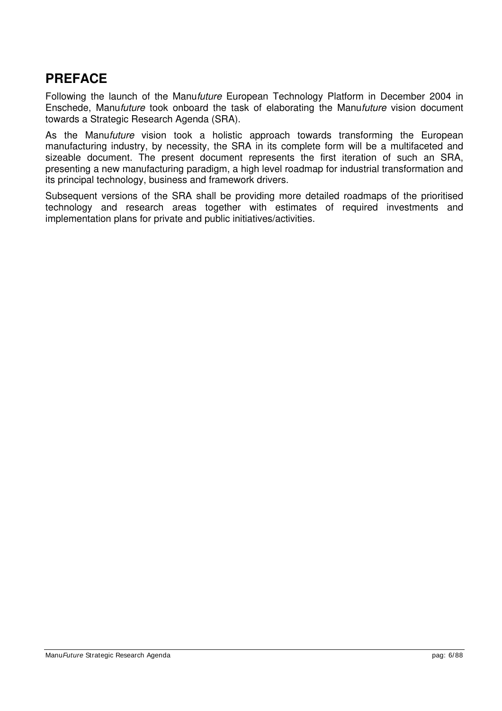# **PREFACE**

Following the launch of the Manu*future* European Technology Platform in December 2004 in Enschede, Manu*future* took onboard the task of elaborating the Manu*future* vision document towards a Strategic Research Agenda (SRA).

As the Manu*future* vision took a holistic approach towards transforming the European manufacturing industry, by necessity, the SRA in its complete form will be a multifaceted and sizeable document. The present document represents the first iteration of such an SRA, presenting a new manufacturing paradigm, a high level roadmap for industrial transformation and its principal technology, business and framework drivers.

Subsequent versions of the SRA shall be providing more detailed roadmaps of the prioritised technology and research areas together with estimates of required investments and implementation plans for private and public initiatives/activities.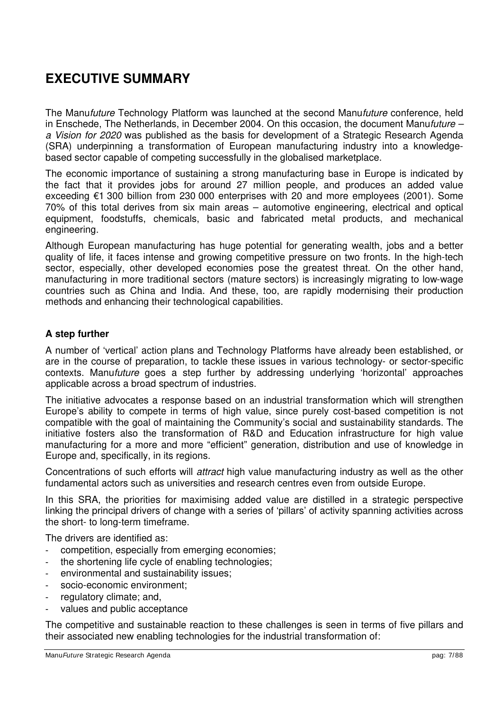# **EXECUTIVE SUMMARY**

The Manu*future* Technology Platform was launched at the second Manu*future* conference, held in Enschede, The Netherlands, in December 2004. On this occasion, the document Manu*future – a Vision for 2020* was published as the basis for development of a Strategic Research Agenda (SRA) underpinning a transformation of European manufacturing industry into a knowledgebased sector capable of competing successfully in the globalised marketplace.

The economic importance of sustaining a strong manufacturing base in Europe is indicated by the fact that it provides jobs for around 27 million people, and produces an added value exceeding €1 300 billion from 230 000 enterprises with 20 and more employees (2001). Some 70% of this total derives from six main areas – automotive engineering, electrical and optical equipment, foodstuffs, chemicals, basic and fabricated metal products, and mechanical engineering.

Although European manufacturing has huge potential for generating wealth, jobs and a better quality of life, it faces intense and growing competitive pressure on two fronts. In the high-tech sector, especially, other developed economies pose the greatest threat. On the other hand, manufacturing in more traditional sectors (mature sectors) is increasingly migrating to low-wage countries such as China and India. And these, too, are rapidly modernising their production methods and enhancing their technological capabilities.

## **A step further**

A number of 'vertical' action plans and Technology Platforms have already been established, or are in the course of preparation, to tackle these issues in various technology- or sector-specific contexts. Manu*future* goes a step further by addressing underlying 'horizontal' approaches applicable across a broad spectrum of industries.

The initiative advocates a response based on an industrial transformation which will strengthen Europe's ability to compete in terms of high value, since purely cost-based competition is not compatible with the goal of maintaining the Community's social and sustainability standards. The initiative fosters also the transformation of R&D and Education infrastructure for high value manufacturing for a more and more "efficient" generation, distribution and use of knowledge in Europe and, specifically, in its regions.

Concentrations of such efforts will *attract* high value manufacturing industry as well as the other fundamental actors such as universities and research centres even from outside Europe.

In this SRA, the priorities for maximising added value are distilled in a strategic perspective linking the principal drivers of change with a series of 'pillars' of activity spanning activities across the short- to long-term timeframe.

The drivers are identified as:

- competition, especially from emerging economies;
- the shortening life cycle of enabling technologies;
- environmental and sustainability issues;
- socio-economic environment;
- regulatory climate; and,
- values and public acceptance

The competitive and sustainable reaction to these challenges is seen in terms of five pillars and their associated new enabling technologies for the industrial transformation of: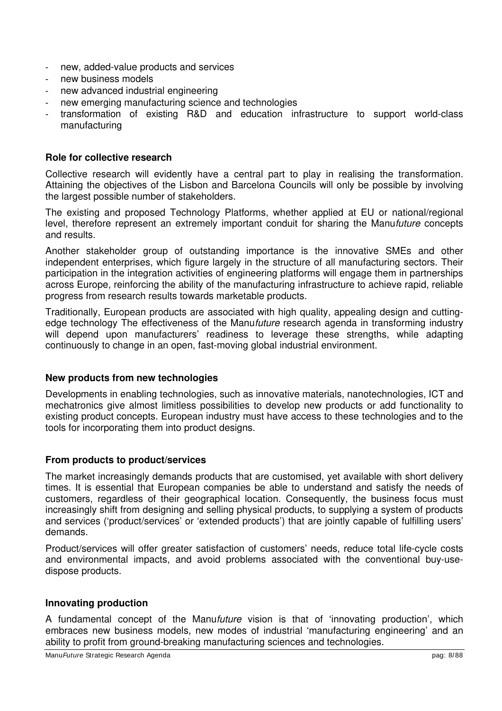- new, added-value products and services
- new business models
- new advanced industrial engineering
- new emerging manufacturing science and technologies
- transformation of existing R&D and education infrastructure to support world-class manufacturing

## **Role for collective research**

Collective research will evidently have a central part to play in realising the transformation. Attaining the objectives of the Lisbon and Barcelona Councils will only be possible by involving the largest possible number of stakeholders.

The existing and proposed Technology Platforms, whether applied at EU or national/regional level, therefore represent an extremely important conduit for sharing the Manu*future* concepts and results.

Another stakeholder group of outstanding importance is the innovative SMEs and other independent enterprises, which figure largely in the structure of all manufacturing sectors. Their participation in the integration activities of engineering platforms will engage them in partnerships across Europe, reinforcing the ability of the manufacturing infrastructure to achieve rapid, reliable progress from research results towards marketable products.

Traditionally, European products are associated with high quality, appealing design and cuttingedge technology The effectiveness of the Manu*future* research agenda in transforming industry will depend upon manufacturers' readiness to leverage these strengths, while adapting continuously to change in an open, fast-moving global industrial environment.

## **New products from new technologies**

Developments in enabling technologies, such as innovative materials, nanotechnologies, ICT and mechatronics give almost limitless possibilities to develop new products or add functionality to existing product concepts. European industry must have access to these technologies and to the tools for incorporating them into product designs.

## **From products to product/services**

The market increasingly demands products that are customised, yet available with short delivery times. It is essential that European companies be able to understand and satisfy the needs of customers, regardless of their geographical location. Consequently, the business focus must increasingly shift from designing and selling physical products, to supplying a system of products and services ('product/services' or 'extended products') that are jointly capable of fulfilling users' demands.

Product/services will offer greater satisfaction of customers' needs, reduce total life-cycle costs and environmental impacts, and avoid problems associated with the conventional buy-usedispose products.

## **Innovating production**

A fundamental concept of the Manu*future* vision is that of 'innovating production', which embraces new business models, new modes of industrial 'manufacturing engineering' and an ability to profit from ground-breaking manufacturing sciences and technologies.